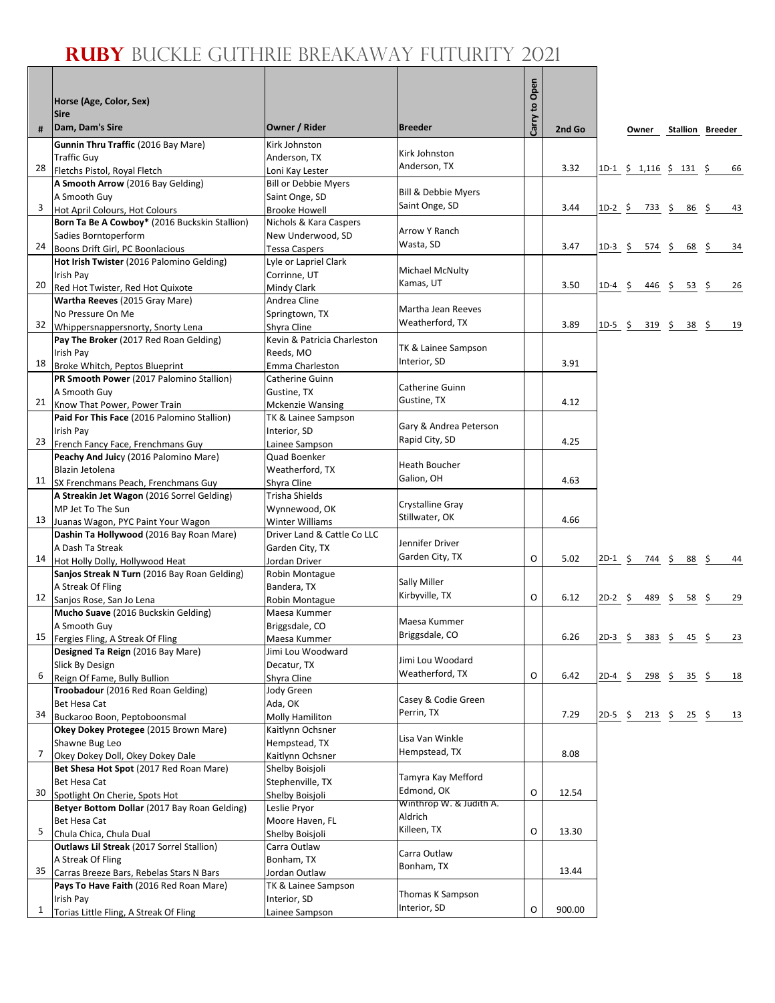## **Ruby** Buckle Guthrie Breakaway Futurity 2021

٦

| #            | Horse (Age, Color, Sex)<br><b>Sire</b><br>Dam, Dam's Sire                       | Owner / Rider                  | <b>Breeder</b>                      | Carry to Open | 2nd Go |           | Owner                        |                                | <b>Stallion Breeder</b> |
|--------------|---------------------------------------------------------------------------------|--------------------------------|-------------------------------------|---------------|--------|-----------|------------------------------|--------------------------------|-------------------------|
|              | Gunnin Thru Traffic (2016 Bay Mare)                                             | Kirk Johnston                  |                                     |               |        |           |                              |                                |                         |
|              | <b>Traffic Guy</b>                                                              | Anderson, TX                   | Kirk Johnston                       |               |        |           |                              |                                |                         |
| 28           | Fletchs Pistol, Royal Fletch                                                    | Loni Kay Lester                | Anderson, TX                        |               | 3.32   |           | $1D-1 \t$ 1,116 \t$ 131 \t$$ |                                | 66                      |
|              | A Smooth Arrow (2016 Bay Gelding)                                               | <b>Bill or Debbie Myers</b>    |                                     |               |        |           |                              |                                |                         |
|              | A Smooth Guy                                                                    | Saint Onge, SD                 | <b>Bill &amp; Debbie Myers</b>      |               |        |           |                              |                                |                         |
| 3            | Hot April Colours, Hot Colours                                                  | <b>Brooke Howell</b>           | Saint Onge, SD                      |               | 3.44   | $1D-2$ \$ |                              | 733 \$ 86 \$                   | 43                      |
|              | Born Ta Be A Cowboy* (2016 Buckskin Stallion)                                   | Nichols & Kara Caspers         | Arrow Y Ranch                       |               |        |           |                              |                                |                         |
|              | Sadies Borntoperform                                                            | New Underwood, SD              | Wasta, SD                           |               |        |           |                              |                                |                         |
| 24           | Boons Drift Girl, PC Boonlacious                                                | <b>Tessa Caspers</b>           |                                     |               | 3.47   | $1D-3$ \$ | 574 \$                       | 68                             | \$<br>34                |
|              | Hot Irish Twister (2016 Palomino Gelding)                                       | Lyle or Lapriel Clark          | Michael McNulty                     |               |        |           |                              |                                |                         |
| 20           | Irish Pay<br>Red Hot Twister, Red Hot Quixote                                   | Corrinne, UT<br>Mindy Clark    | Kamas, UT                           |               | 3.50   | $1D-4$ \$ |                              | 446 \$<br>53 \$                | 26                      |
|              | Wartha Reeves (2015 Gray Mare)                                                  | Andrea Cline                   |                                     |               |        |           |                              |                                |                         |
|              | No Pressure On Me                                                               | Springtown, TX                 | Martha Jean Reeves                  |               |        |           |                              |                                |                         |
| 32           | Whippersnappersnorty, Snorty Lena                                               | Shyra Cline                    | Weatherford, TX                     |               | 3.89   | $1D-5$ \$ | 319 \$                       | 38 \$                          | 19                      |
|              | Pay The Broker (2017 Red Roan Gelding)                                          | Kevin & Patricia Charleston    |                                     |               |        |           |                              |                                |                         |
|              | Irish Pay                                                                       | Reeds, MO                      | TK & Lainee Sampson                 |               |        |           |                              |                                |                         |
| 18           | Broke Whitch, Peptos Blueprint                                                  | Emma Charleston                | Interior, SD                        |               | 3.91   |           |                              |                                |                         |
|              | PR Smooth Power (2017 Palomino Stallion)                                        | Catherine Guinn                | <b>Catherine Guinn</b>              |               |        |           |                              |                                |                         |
|              | A Smooth Guy                                                                    | Gustine, TX                    | Gustine, TX                         |               | 4.12   |           |                              |                                |                         |
| 21           | Know That Power, Power Train                                                    | <b>Mckenzie Wansing</b>        |                                     |               |        |           |                              |                                |                         |
|              | Paid For This Face (2016 Palomino Stallion)<br>Irish Pay                        | TK & Lainee Sampson            | Gary & Andrea Peterson              |               |        |           |                              |                                |                         |
| 23           | French Fancy Face, Frenchmans Guy                                               | Interior, SD<br>Lainee Sampson | Rapid City, SD                      |               | 4.25   |           |                              |                                |                         |
|              | Peachy And Juicy (2016 Palomino Mare)                                           | Quad Boenker                   |                                     |               |        |           |                              |                                |                         |
|              | Blazin Jetolena                                                                 | Weatherford, TX                | <b>Heath Boucher</b>                |               |        |           |                              |                                |                         |
|              | 11 SX Frenchmans Peach, Frenchmans Guy                                          | Shyra Cline                    | Galion, OH                          |               | 4.63   |           |                              |                                |                         |
|              | A Streakin Jet Wagon (2016 Sorrel Gelding)                                      | Trisha Shields                 |                                     |               |        |           |                              |                                |                         |
|              | MP Jet To The Sun                                                               | Wynnewood, OK                  | Crystalline Gray                    |               |        |           |                              |                                |                         |
| 13           | Juanas Wagon, PYC Paint Your Wagon                                              | Winter Williams                | Stillwater, OK                      |               | 4.66   |           |                              |                                |                         |
|              | Dashin Ta Hollywood (2016 Bay Roan Mare)                                        | Driver Land & Cattle Co LLC    | Jennifer Driver                     |               |        |           |                              |                                |                         |
|              | A Dash Ta Streak                                                                | Garden City, TX                | Garden City, TX                     | O             | 5.02   |           |                              |                                |                         |
| 14           | Hot Holly Dolly, Hollywood Heat<br>Sanjos Streak N Turn (2016 Bay Roan Gelding) | Jordan Driver                  |                                     |               |        | $2D-1$ \$ | 744 \$                       | 88\$                           | 44                      |
|              | A Streak Of Fling                                                               | Robin Montague<br>Bandera, TX  | Sally Miller                        |               |        |           |                              |                                |                         |
| 12           | Sanjos Rose, San Jo Lena                                                        | Robin Montague                 | Kirbyville, TX                      | O             | 6.12   | $2D-2$ \$ | 489\$                        | 58                             | \$.<br>29               |
|              | Mucho Suave (2016 Buckskin Gelding)                                             | Maesa Kummer                   |                                     |               |        |           |                              |                                |                         |
|              | A Smooth Guy                                                                    | Briggsdale, CO                 | Maesa Kummer                        |               |        |           |                              |                                |                         |
| 15           | Fergies Fling, A Streak Of Fling                                                | Maesa Kummer                   | Briggsdale, CO                      |               | 6.26   | $2D-3$ \$ |                              | $383 \quad 5 \quad 45 \quad 5$ | 23                      |
|              | Designed Ta Reign (2016 Bay Mare)                                               | Jimi Lou Woodward              |                                     |               |        |           |                              |                                |                         |
|              | Slick By Design                                                                 | Decatur, TX                    | Jimi Lou Woodard<br>Weatherford, TX |               |        |           |                              |                                |                         |
| 6            | Reign Of Fame, Bully Bullion                                                    | Shyra Cline                    |                                     | O             | 6.42   | $2D-4$ \$ |                              | $298 \div 35 \div$             | 18                      |
|              | Troobadour (2016 Red Roan Gelding)                                              | Jody Green                     | Casey & Codie Green                 |               |        |           |                              |                                |                         |
| 34           | Bet Hesa Cat<br>Buckaroo Boon, Peptoboonsmal                                    | Ada, OK<br>Molly Hamiliton     | Perrin, TX                          |               | 7.29   |           | 2D-5 \$ 213 \$ 25 \$         |                                | 13                      |
|              | Okey Dokey Protegee (2015 Brown Mare)                                           | Kaitlynn Ochsner               |                                     |               |        |           |                              |                                |                         |
|              | Shawne Bug Leo                                                                  | Hempstead, TX                  | Lisa Van Winkle                     |               |        |           |                              |                                |                         |
| 7            | Okey Dokey Doll, Okey Dokey Dale                                                | Kaitlynn Ochsner               | Hempstead, TX                       |               | 8.08   |           |                              |                                |                         |
|              | Bet Shesa Hot Spot (2017 Red Roan Mare)                                         | Shelby Boisjoli                |                                     |               |        |           |                              |                                |                         |
|              | Bet Hesa Cat                                                                    | Stephenville, TX               | Tamyra Kay Mefford                  |               |        |           |                              |                                |                         |
| 30           | Spotlight On Cherie, Spots Hot                                                  | Shelby Boisjoli                | Edmond, OK                          | O             | 12.54  |           |                              |                                |                         |
|              | Betyer Bottom Dollar (2017 Bay Roan Gelding)                                    | Leslie Pryor                   | Winthrop W. & Judith A.<br>Aldrich  |               |        |           |                              |                                |                         |
|              | Bet Hesa Cat                                                                    | Moore Haven, FL                | Killeen, TX                         | O             |        |           |                              |                                |                         |
| 5            | Chula Chica, Chula Dual                                                         | Shelby Boisjoli                |                                     |               | 13.30  |           |                              |                                |                         |
|              | Outlaws Lil Streak (2017 Sorrel Stallion)                                       | Carra Outlaw                   | Carra Outlaw                        |               |        |           |                              |                                |                         |
| 35           | A Streak Of Fling<br>Carras Breeze Bars, Rebelas Stars N Bars                   | Bonham, TX<br>Jordan Outlaw    | Bonham, TX                          |               | 13.44  |           |                              |                                |                         |
|              | Pays To Have Faith (2016 Red Roan Mare)                                         | TK & Lainee Sampson            |                                     |               |        |           |                              |                                |                         |
|              | Irish Pay                                                                       | Interior, SD                   | Thomas K Sampson                    |               |        |           |                              |                                |                         |
| $\mathbf{1}$ | Torias Little Fling, A Streak Of Fling                                          | Lainee Sampson                 | Interior, SD                        | O             | 900.00 |           |                              |                                |                         |
|              |                                                                                 |                                |                                     |               |        |           |                              |                                |                         |